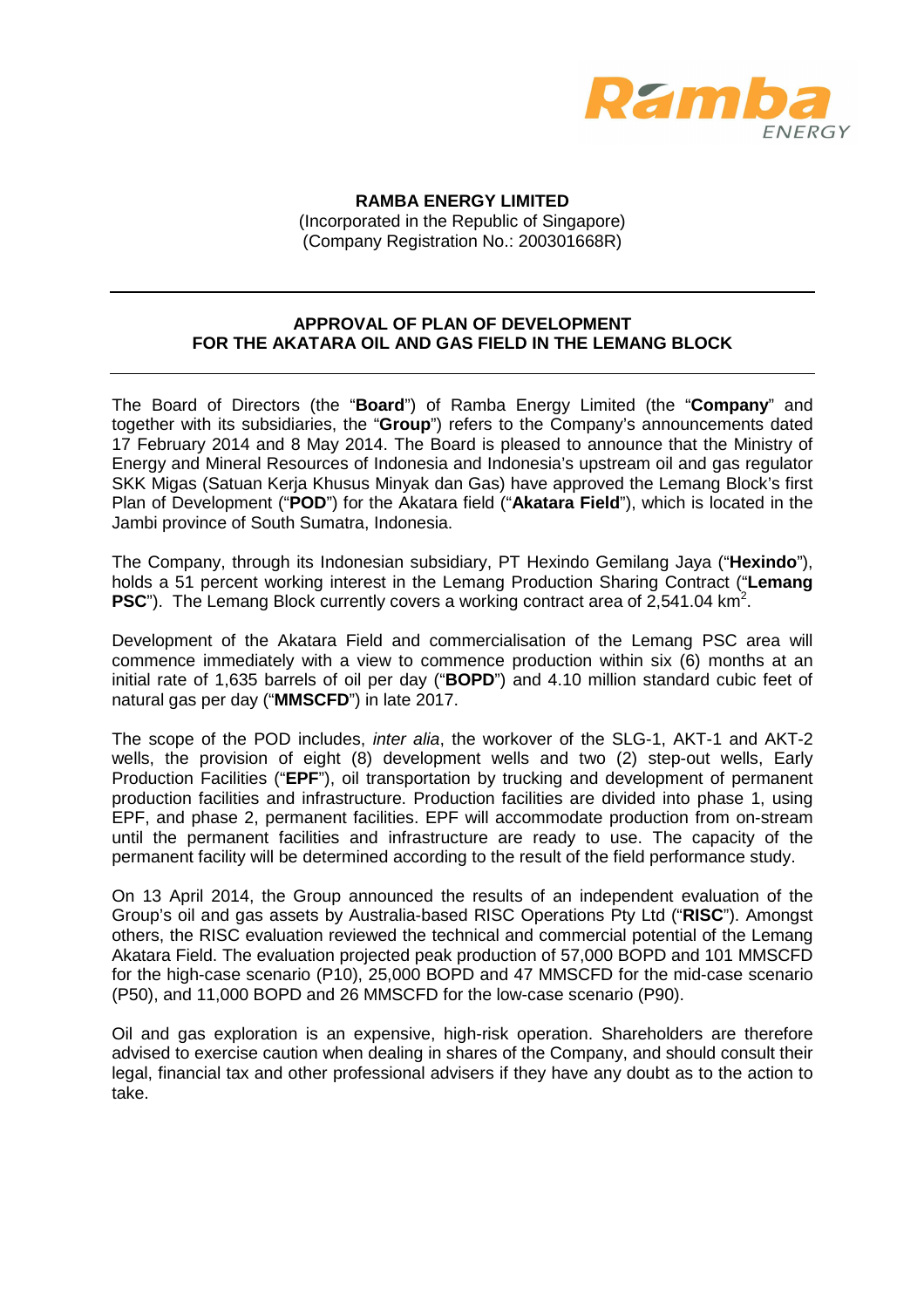

**RAMBA ENERGY LIMITED** (Incorporated in the Republic of Singapore) (Company Registration No.: 200301668R)

## **APPROVAL OF PLAN OF DEVELOPMENT FOR THE AKATARA OIL AND GAS FIELD IN THE LEMANG BLOCK**

The Board of Directors (the "**Board**") of Ramba Energy Limited (the "**Company**" and together with its subsidiaries, the "**Group**") refers to the Company's announcements dated 17 February 2014 and 8 May 2014. The Board is pleased to announce that the Ministry of Energy and Mineral Resources of Indonesia and Indonesia's upstream oil and gas regulator SKK Migas (Satuan Kerja Khusus Minyak dan Gas) have approved the Lemang Block's first Plan of Development ("**POD**") for the Akatara field ("**Akatara Field**"), which is located in the Jambi province of South Sumatra, Indonesia.

The Company, through its Indonesian subsidiary, PT Hexindo Gemilang Jaya ("**Hexindo**"), holds a 51 percent working interest in the Lemang Production Sharing Contract ("**Lemang PSC**"). The Lemang Block currently covers a working contract area of  $2,541.04$  km<sup>2</sup>.

Development of the Akatara Field and commercialisation of the Lemang PSC area will commence immediately with a view to commence production within six (6) months at an initial rate of 1,635 barrels of oil per day ("**BOPD**") and 4.10 million standard cubic feet of natural gas per day ("**MMSCFD**") in late 2017.

The scope of the POD includes, inter alia, the workover of the SLG-1, AKT-1 and AKT-2 wells, the provision of eight (8) development wells and two (2) step-out wells, Early Production Facilities ("**EPF**"), oil transportation by trucking and development of permanent production facilities and infrastructure. Production facilities are divided into phase 1, using EPF, and phase 2, permanent facilities. EPF will accommodate production from on-stream until the permanent facilities and infrastructure are ready to use. The capacity of the permanent facility will be determined according to the result of the field performance study.

On 13 April 2014, the Group announced the results of an independent evaluation of the Group's oil and gas assets by Australia-based RISC Operations Pty Ltd ("**RISC**"). Amongst others, the RISC evaluation reviewed the technical and commercial potential of the Lemang Akatara Field. The evaluation projected peak production of 57,000 BOPD and 101 MMSCFD for the high-case scenario (P10), 25,000 BOPD and 47 MMSCFD for the mid-case scenario (P50), and 11,000 BOPD and 26 MMSCFD for the low-case scenario (P90).

Oil and gas exploration is an expensive, high-risk operation. Shareholders are therefore advised to exercise caution when dealing in shares of the Company, and should consult their legal, financial tax and other professional advisers if they have any doubt as to the action to take.